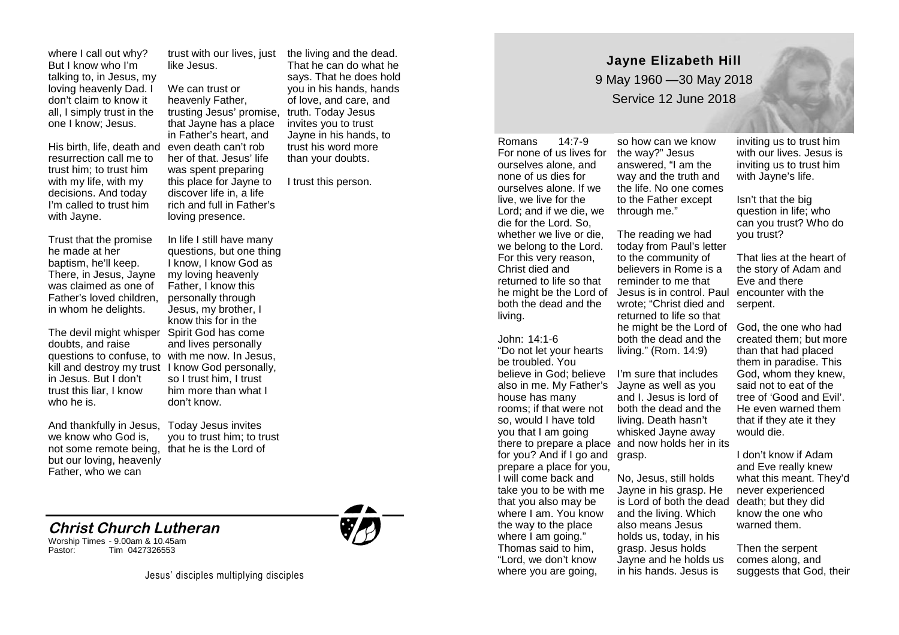where I call out why? But I know who I'm talking to, in Jesus, my loving heavenly Dad. I don't claim to know it all, I simply trust in the one I know; Jesus.

His birth, life, death and resurrection call me to trust him; to trust him with my life, with my decisions. And today I'm called to trust him with Jayne.

Trust that the promise he made at her baptism, he'll keep. There, in Jesus, Jayne was claimed as one of Father's loved children, in whom he delights.

The devil might whisper Spirit God has come doubts, and raise questions to confuse, to with me now. In Jesus, kill and destroy my trust I know God personally, in Jesus. But I don't trust this liar, I know who he is.

And thankfully in Jesus, we know who God is, but our loving, heavenly Father, who we can

trust with our lives, just like Jesus.

We can trust or heavenly Father, trusting Jesus' promise, that Jayne has a place in Father's heart, and even death can't rob her of that. Jesus' life was spent preparing this place for Jayne to discover life in, a life rich and full in Father's loving presence.

In life I still have many questions, but one thing I know, I know God as my loving heavenly Father, I know this personally through Jesus, my brother, I know this for in the and lives personally so I trust him, I trust him more than what I don't know.

not some remote being, that he is the Lord of Today Jesus invites you to trust him; to trust

## **Christ Church Lutheran**

Worship Times - 9.00am & 10.45am Tim 0427326553



the living and the dead. That he can do what he says. That he does hold you in his hands, hands of love, and care, and truth. Today Jesus invites you to trust Jayne in his hands, to trust his word more than your doubts.

I trust this person.

**Jayne Elizabeth Hill** 9 May 1960 —30 May 2018 Service 12 June 2018

Romans 14:7-9 For none of us lives for the way?" Jesus ourselves alone, and none of us dies for ourselves alone. If we live, we live for the Lord; and if we die, we die for the Lord. So, whether we live or die, we belong to the Lord. For this very reason, Christ died and returned to life so that he might be the Lord of both the dead and the living.

John: 14:1-6 "Do not let your hearts be troubled. You believe in God; believe I'm sure that includes house has many rooms; if that were not so, would I have told you that I am going for you? And if I go and grasp. prepare a place for you, I will come back and take you to be with me that you also may be where I am. You know the way to the place where I am going." Thomas said to him, "Lord, we don't know where you are going,

so how can we know answered, "I am the way and the truth and the life. No one comes to the Father except through me."

The reading we had today from Paul's letter to the community of believers in Rome is a reminder to me that Jesus is in control. Paul encounter with the wrote; "Christ died and returned to life so that he might be the Lord of God, the one who had both the dead and the living." (Rom. 14:9)

also in me. My Father's Jayne as well as you there to prepare a place and now holds her in its and I. Jesus is lord of both the dead and the living. Death hasn't whisked Jayne away

> No, Jesus, still holds Jayne in his grasp. He is Lord of both the dead death; but they did and the living. Which also means Jesus holds us, today, in his grasp. Jesus holds Jayne and he holds us in his hands. Jesus is

inviting us to trust him with our lives. Jesus is inviting us to trust him with Jayne's life.

Isn't that the big question in life; who can you trust? Who do you trust?

That lies at the heart of the story of Adam and Eve and there serpent.

created them; but more than that had placed them in paradise. This God, whom they knew, said not to eat of the tree of 'Good and Evil'. He even warned them that if they ate it they would die.

I don't know if Adam and Eve really knew what this meant. They'd never experienced know the one who warned them.

Then the serpent comes along, and suggests that God, their

Jesus' disciples multiplying disciples